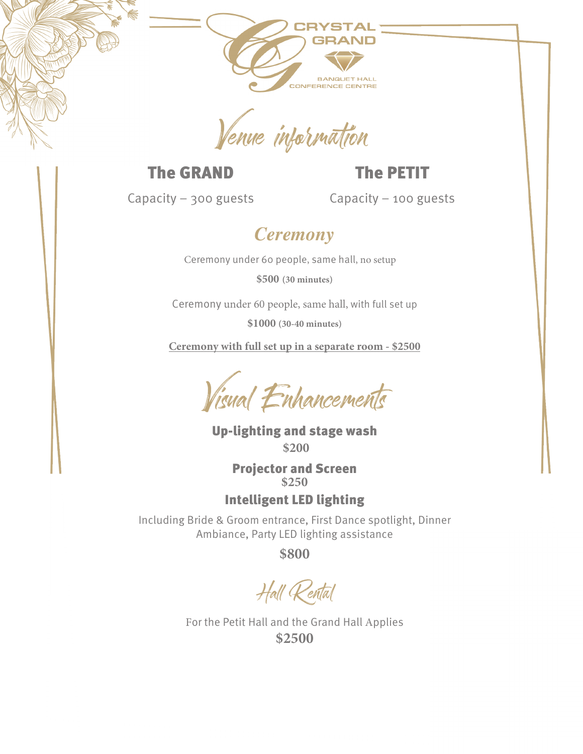

#### The GRAND

The PETIT

Capacity – 300 guests

Capacity – 100 guests

## *Ceremony*

Ceremony under 60 people, same hall, no setup

**\$500 (30 minutes)**

Ceremony under 60 people, same hall, with full set up

**\$1000 (30-40 minutes)**

**Ceremony with full set up in a separate room - \$2500**

Visual Enhancements

Up-lighting and stage wash **\$200**

> Projector and Screen **\$250**

Intelligent LED lighting

Including Bride & Groom entrance, First Dance spotlight, Dinner Ambiance, Party LED lighting assistance

**\$800**

Hall Renta

For the Petit Hall and the Grand Hall Applies **\$2500**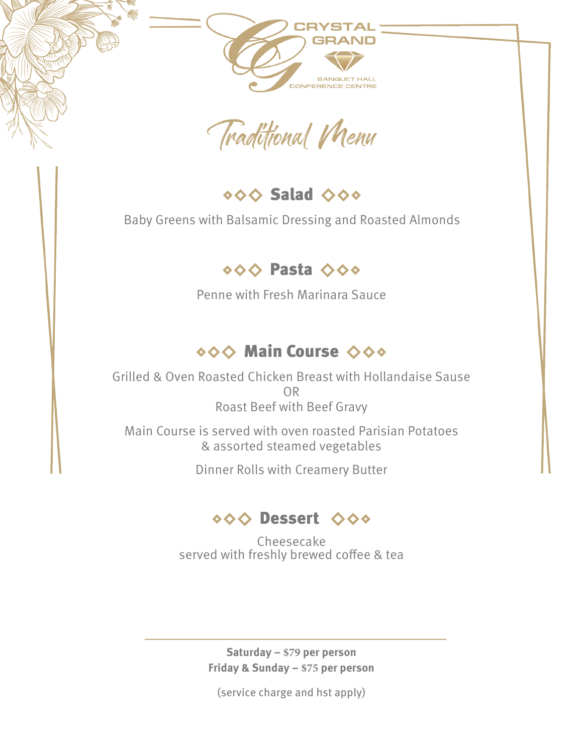Traditional VNews

000 Salad 000

Baby Greens with Balsamic Dressing and Roasted Almonds

#### ◇◇◇ Pasta ◇◇◇

Penne with Fresh Marinara Sauce

## **◇◇◇ Main Course ◇◇◇**

Grilled & Oven Roasted Chicken Breast with Hollandaise Sause OR Roast Beef with Beef Gravy

Main Course is served with oven roasted Parisian Potatoes & assorted steamed vegetables

Dinner Rolls with Creamery Butter

#### ◇◇◇ Dessert ◇◇◇

Cheesecake served with freshly brewed coffee & tea

> **Saturday – \$79 per person Friday & Sunday – \$75 per person**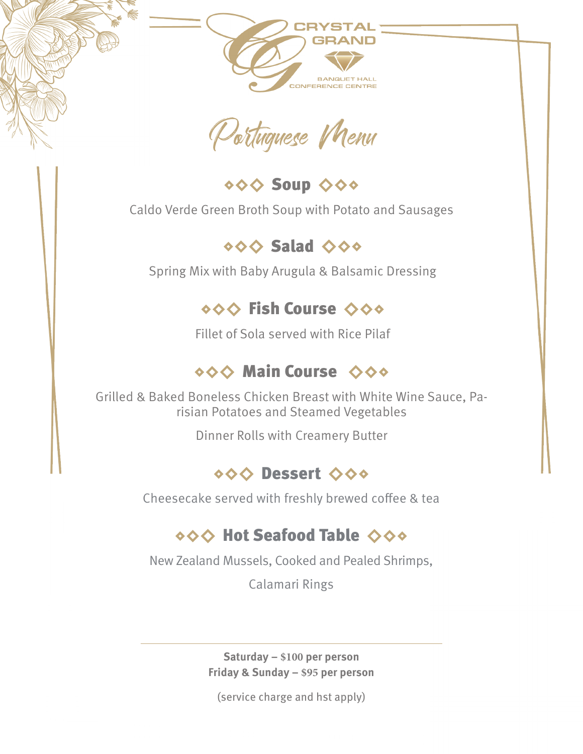Potuguese Menu

◇◇◇ Soup ◇◇◇

Caldo Verde Green Broth Soup with Potato and Sausages

◇◇◇ Salad ◇◇◇

Spring Mix with Baby Arugula & Balsamic Dressing

#### **OOO Fish Course ◇◇◇**

Fillet of Sola served with Rice Pilaf

## **◇◇◇ Main Course ◇◇◇**

Grilled & Baked Boneless Chicken Breast with White Wine Sauce, Parisian Potatoes and Steamed Vegetables

Dinner Rolls with Creamery Butter

#### ◇◇◇ Dessert ◇◇◇

Cheesecake served with freshly brewed coffee & tea

## ◇◇◇ Hot Seafood Table ◇◇◇

New Zealand Mussels, Cooked and Pealed Shrimps,

Calamari Rings

**Saturday – \$100 per person Friday & Sunday – \$95 per person**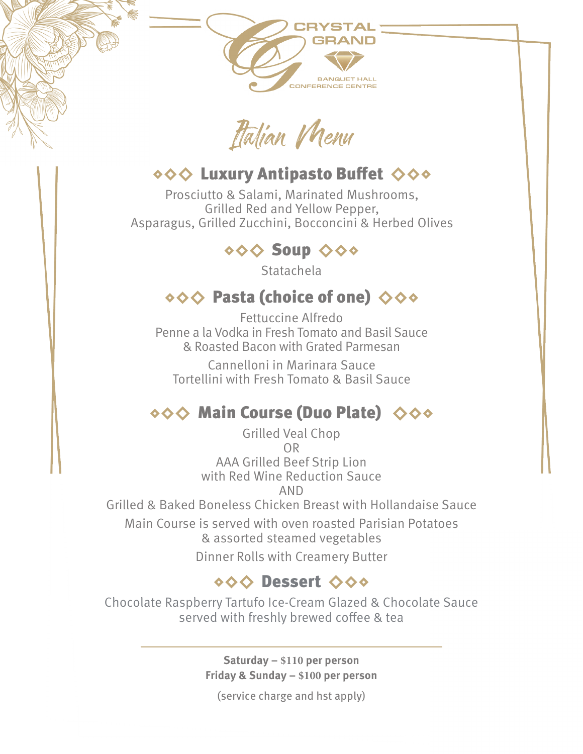Itaian Menu

#### ◆◆◆ Luxury Antipasto Buffet ◆◆◆

Prosciutto & Salami, Marinated Mushrooms, Grilled Red and Yellow Pepper, Asparagus, Grilled Zucchini, Bocconcini & Herbed Olives

#### ◇◇◇ Soup ◇◇◇

**Statachela** 

## $\diamond \diamond \diamond$  Pasta (choice of one)  $\diamond \diamond \diamond$

Fettuccine Alfredo Penne a la Vodka in Fresh Tomato and Basil Sauce & Roasted Bacon with Grated Parmesan

Cannelloni in Marinara Sauce Tortellini with Fresh Tomato & Basil Sauce

# ◇◇◇ Main Course (Duo Plate) ◇◇◇

Grilled Veal Chop OR AAA Grilled Beef Strip Lion with Red Wine Reduction Sauce AND Grilled & Baked Boneless Chicken Breast with Hollandaise Sauce Main Course is served with oven roasted Parisian Potatoes & assorted steamed vegetables Dinner Rolls with Creamery Butter

## ◇◇◇ Dessert ◇◇◇

Chocolate Raspberry Tartufo Ice-Cream Glazed & Chocolate Sauce served with freshly brewed coffee & tea

> **Saturday – \$110 per person Friday & Sunday – \$100 per person**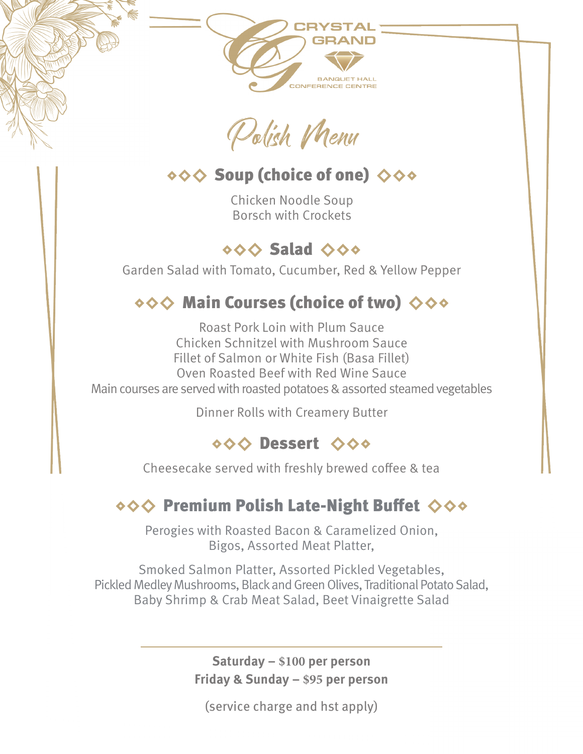Polish VNenu

## ◇◇◇ Soup (choice of one) ◇◇◇

Chicken Noodle Soup Borsch with Crockets

## ◇◇◇ Salad ◇◇◇

Garden Salad with Tomato, Cucumber, Red & Yellow Pepper

# ◇◇◇ Main Courses (choice of two) ◇◇◇

Roast Pork Loin with Plum Sauce Chicken Schnitzel with Mushroom Sauce Fillet of Salmon or White Fish (Basa Fillet) Oven Roasted Beef with Red Wine Sauce Main courses are served with roasted potatoes & assorted steamed vegetables

Dinner Rolls with Creamery Butter

## ◇◇◇ Dessert ◇◇◇

Cheesecake served with freshly brewed coffee & tea

# ◇◇◇ Premium Polish Late-Night Buffet ◇◇◇

Perogies with Roasted Bacon & Caramelized Onion, Bigos, Assorted Meat Platter,

Smoked Salmon Platter, Assorted Pickled Vegetables, Pickled Medley Mushrooms, Black and Green Olives, Traditional Potato Salad, Baby Shrimp & Crab Meat Salad, Beet Vinaigrette Salad

> **Saturday – \$100 per person Friday & Sunday – \$95 per person**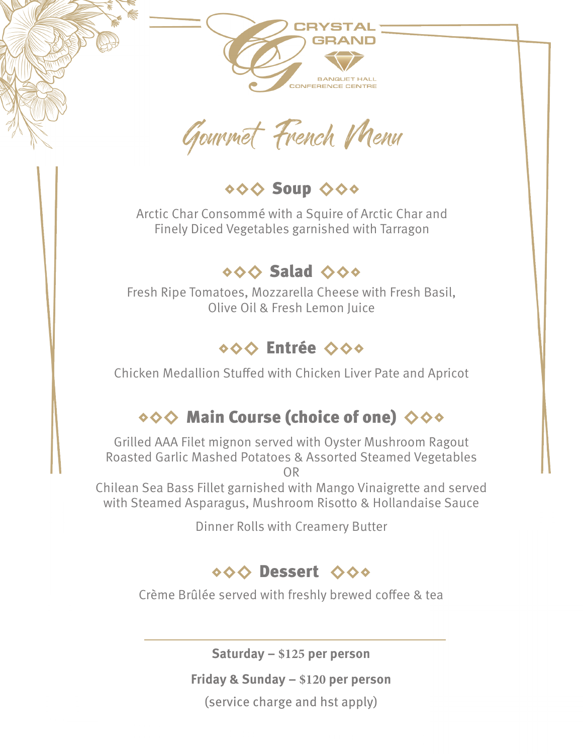Gourmet French Menu

**◇◇◇ Soup ◇◇◇** 

Arctic Char Consommé with a Squire of Arctic Char and Finely Diced Vegetables garnished with Tarragon

#### $\diamond \diamond \diamond$  Salad  $\diamond \diamond \diamond$

Fresh Ripe Tomatoes, Mozzarella Cheese with Fresh Basil, Olive Oil & Fresh Lemon Juice

#### ◇◇◇ Entrée ◇◇◇

Chicken Medallion Stuffed with Chicken Liver Pate and Apricot

# ◇◇◇ Main Course (choice of one) ◇◇◇

Grilled AAA Filet mignon served with Oyster Mushroom Ragout Roasted Garlic Mashed Potatoes & Assorted Steamed Vegetables OR

Chilean Sea Bass Fillet garnished with Mango Vinaigrette and served with Steamed Asparagus, Mushroom Risotto & Hollandaise Sauce

Dinner Rolls with Creamery Butter

## ◇◇◇ Dessert ◇◇◇

Crème Brûlée served with freshly brewed coffee & tea

**Saturday – \$125 per person**

**Friday & Sunday – \$120 per person**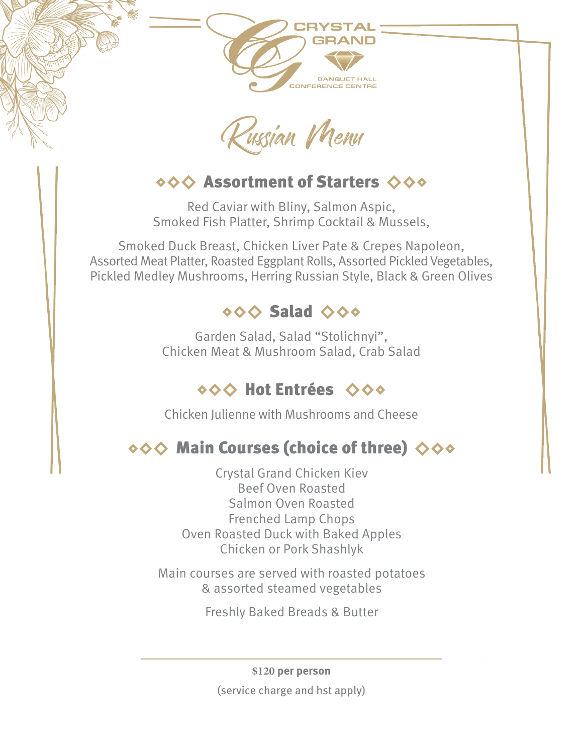Rusian Menu

## $\diamond \diamond \diamond$  Assortment of Starters  $\diamond \diamond \diamond$

Red Caviar with Bliny, Salmon Aspic, Smoked Fish Platter, Shrimp Cocktail & Mussels,

Smoked Duck Breast, Chicken Liver Pate & Crepes Napoleon, Assorted Meat Platter, Roasted Eggplant Rolls, Assorted Pickled Vegetables, Pickled Medley Mushrooms, Herring Russian Style, Black & Green Olives

## ◇◇◇ Salad ◇◇◇

Garden Salad, Salad "Stolichnyi", Chicken Meat & Mushroom Salad, Crab Salad

## ◇◇◇ Hot Entrées ◇◇◇

Chicken Julienne with Mushrooms and Cheese

# ◇◇◇ Main Courses (choice of three) ◇◇◇

Crystal Grand Chicken Kiev Beef Oven Roasted Salmon Oven Roasted Frenched Lamp Chops Oven Roasted Duck with Baked Apples Chicken or Pork Shashlyk

Main courses are served with roasted potatoes & assorted steamed vegetables

Freshly Baked Breads & Butter

**\$120 per person** (service charge and hst apply)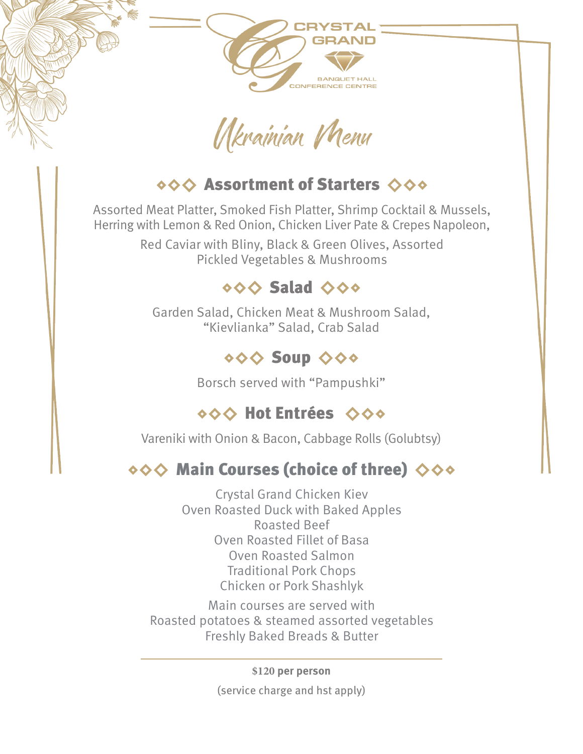

## ◆◆◆ Assortment of Starters ◆◆◆

Assorted Meat Platter, Smoked Fish Platter, Shrimp Cocktail & Mussels, Herring with Lemon & Red Onion, Chicken Liver Pate & Crepes Napoleon,

> Red Caviar with Bliny, Black & Green Olives, Assorted Pickled Vegetables & Mushrooms

#### ◇◇◇ Salad ◇◇◇

Garden Salad, Chicken Meat & Mushroom Salad, "Kievlianka" Salad, Crab Salad

## **Soup ◇◇◇**

Borsch served with "Pampushki"

# ◇◇◇ Hot Entrées ◇◇◇

Vareniki with Onion & Bacon, Cabbage Rolls (Golubtsy)

# $\diamond \diamond \diamond$  Main Courses (choice of three)  $\diamond \diamond \diamond$

Crystal Grand Chicken Kiev Oven Roasted Duck with Baked Apples Roasted Beef Oven Roasted Fillet of Basa Oven Roasted Salmon Traditional Pork Chops Chicken or Pork Shashlyk

Main courses are served with Roasted potatoes & steamed assorted vegetables Freshly Baked Breads & Butter

**\$120 per person**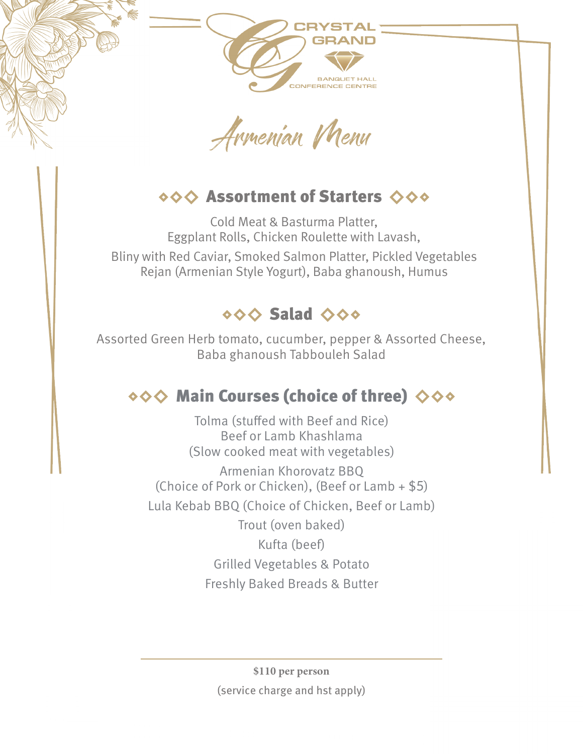Armenian Menu

## ◇◇◇ Assortment of Starters ◇◇◇

Cold Meat & Basturma Platter, Eggplant Rolls, Chicken Roulette with Lavash, Bliny with Red Caviar, Smoked Salmon Platter, Pickled Vegetables Rejan (Armenian Style Yogurt), Baba ghanoush, Humus



Assorted Green Herb tomato, cucumber, pepper & Assorted Cheese, Baba ghanoush Tabbouleh Salad

# $\diamond \diamond \diamond$  Main Courses (choice of three)  $\diamond \diamond \diamond$

Tolma (stuffed with Beef and Rice) Beef or Lamb Khashlama (Slow cooked meat with vegetables) Armenian Khorovatz BBQ (Choice of Pork or Chicken), (Beef or Lamb + \$5) Lula Kebab BBQ (Choice of Chicken, Beef or Lamb)

> Trout (oven baked) Kufta (beef) Grilled Vegetables & Potato Freshly Baked Breads & Butter

**\$110 per person** (service charge and hst apply)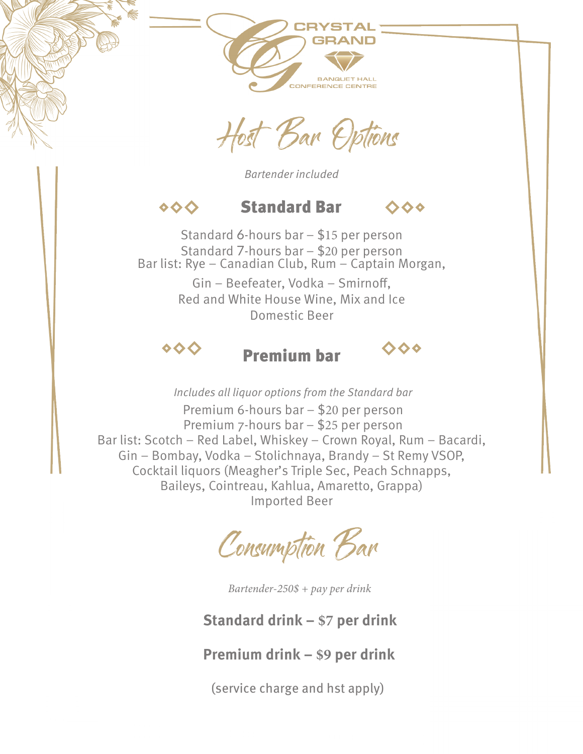Host Bar Options

*Bartender included*

#### Standard Bar  $\diamond$ ◇◇◇

Standard 6-hours bar – \$15 per person Standard 7-hours bar – \$20 per person Bar list: Rye – Canadian Club, Rum – Captain Morgan, Gin – Beefeater, Vodka – Smirnoff, Red and White House Wine, Mix and Ice Domestic Beer

#### $\diamond$

#### Premium bar

 $\ddot{\diamond}$ 

*Includes all liquor options from the Standard bar* Premium 6-hours bar – \$20 per person Premium 7-hours bar – \$25 per person Bar list: Scotch – Red Label, Whiskey – Crown Royal, Rum – Bacardi, Gin – Bombay, Vodka – Stolichnaya, Brandy – St Remy VSOP, Cocktail liquors (Meagher's Triple Sec, Peach Schnapps, Baileys, Cointreau, Kahlua, Amaretto, Grappa) Imported Beer

Consumption Bar

*Bartender-250\$ + pay per drink*

#### **Standard drink – \$7 per drink**

#### **Premium drink – \$9 per drink**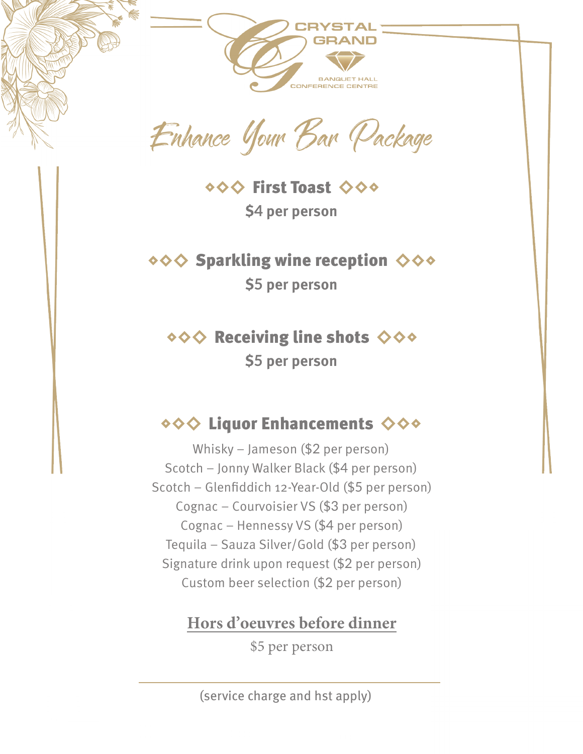Enhance Your Bar Package

◆◇◇ First Toast ◇◇◆ **\$4 per person**

 $\diamond \diamond \diamond$  Sparkling wine reception  $\diamond \diamond \diamond$ **\$5 per person**

 $\diamond \diamond \diamond$  Receiving line shots  $\diamond \diamond \diamond$ **\$5 per person**

## ◆◆◆ Liquor Enhancements ◆◆◆

Whisky – Jameson (\$2 per person) Scotch – Jonny Walker Black (\$4 per person) Scotch – Glenfiddich 12-Year-Old (\$5 per person) Cognac – Courvoisier VS (\$3 per person) Cognac – Hennessy VS (\$4 per person) Tequila – Sauza Silver/Gold (\$3 per person) Signature drink upon request (\$2 per person) Custom beer selection (\$2 per person)

**Hors d'oeuvres before dinner**

\$5 per person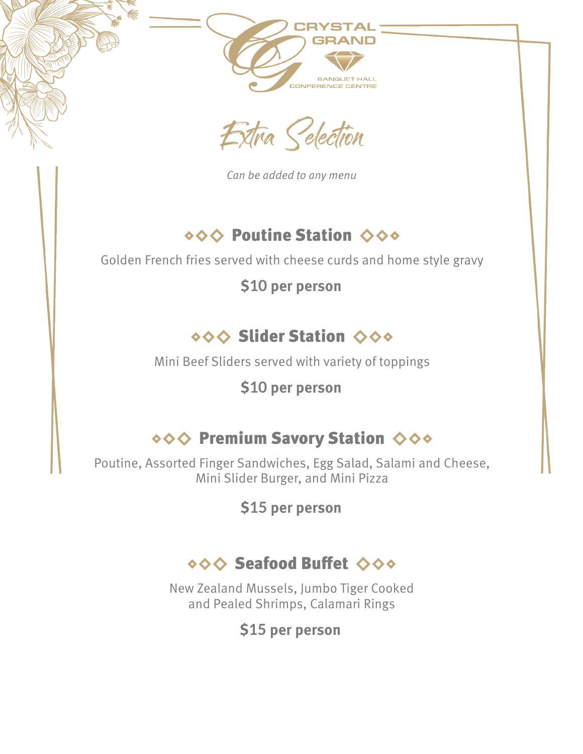Extra Seection

*Can be added to any menu*

## ◇◇◇ Poutine Station ◇◇◇

Golden French fries served with cheese curds and home style gravy

**\$10 per person**

# ◆◆◆ Slider Station ◆◆◆

Mini Beef Sliders served with variety of toppings

## **\$10 per person**

# ◆◆◆ Premium Savory Station ◆◆◆

Poutine, Assorted Finger Sandwiches, Egg Salad, Salami and Cheese, Mini Slider Burger, and Mini Pizza

**\$15 per person**

# ◇◇◇ Seafood Buffet ◇◇◇

New Zealand Mussels, Jumbo Tiger Cooked and Pealed Shrimps, Calamari Rings

#### **\$15 per person**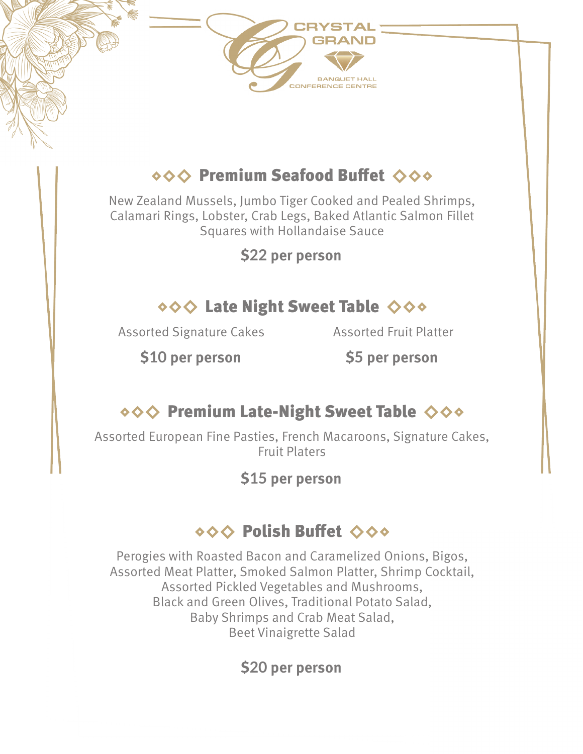# ◇◇◇ Premium Seafood Buffet ◇◇◇

New Zealand Mussels, Jumbo Tiger Cooked and Pealed Shrimps, Calamari Rings, Lobster, Crab Legs, Baked Atlantic Salmon Fillet Squares with Hollandaise Sauce

**\$22 per person**

#### ◇◇◇ Late Night Sweet Table ◇◇◇

Assorted Signature Cakes

Assorted Fruit Platter

**\$10 per person**

**\$5 per person**

#### ◇◇◇ Premium Late-Night Sweet Table ◇◇◇

Assorted European Fine Pasties, French Macaroons, Signature Cakes, Fruit Platers

**\$15 per person**

## ◇◇◇ Polish Buffet ◇◇◇

Perogies with Roasted Bacon and Caramelized Onions, Bigos, Assorted Meat Platter, Smoked Salmon Platter, Shrimp Cocktail, Assorted Pickled Vegetables and Mushrooms, Black and Green Olives, Traditional Potato Salad, Baby Shrimps and Crab Meat Salad, Beet Vinaigrette Salad

**\$20 per person**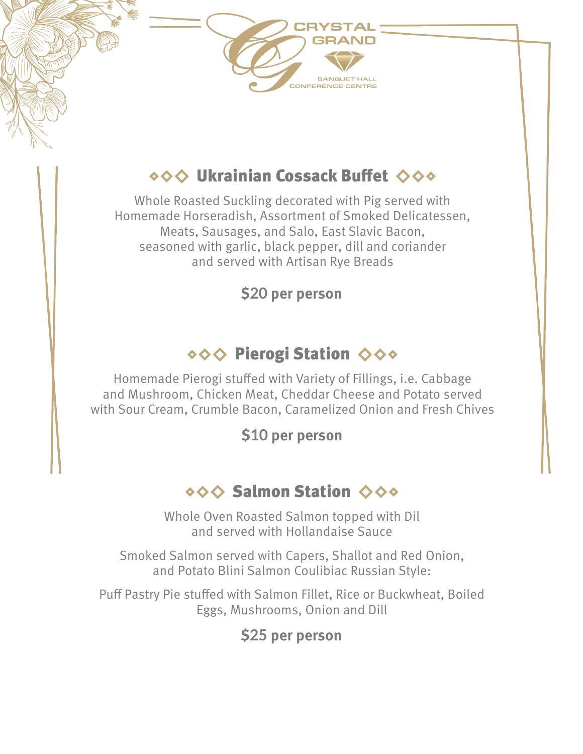# **OOO Ukrainian Cossack Buffet ◆◆◆**

Whole Roasted Suckling decorated with Pig served with Homemade Horseradish, Assortment of Smoked Delicatessen, Meats, Sausages, and Salo, East Slavic Bacon, seasoned with garlic, black pepper, dill and coriander and served with Artisan Rye Breads

**\$20 per person**

# ◆◆◆ Pierogi Station ◆◆◆

Homemade Pierogi stuffed with Variety of Fillings, i.e. Cabbage and Mushroom, Chicken Meat, Cheddar Cheese and Potato served with Sour Cream, Crumble Bacon, Caramelized Onion and Fresh Chives

**\$10 per person**

## ◇◇◇ Salmon Station ◇◇◇

Whole Oven Roasted Salmon topped with Dil and served with Hollandaise Sauce

Smoked Salmon served with Capers, Shallot and Red Onion, and Potato Blini Salmon Coulibiac Russian Style:

Puff Pastry Pie stuffed with Salmon Fillet, Rice or Buckwheat, Boiled Eggs, Mushrooms, Onion and Dill

#### **\$25 per person**